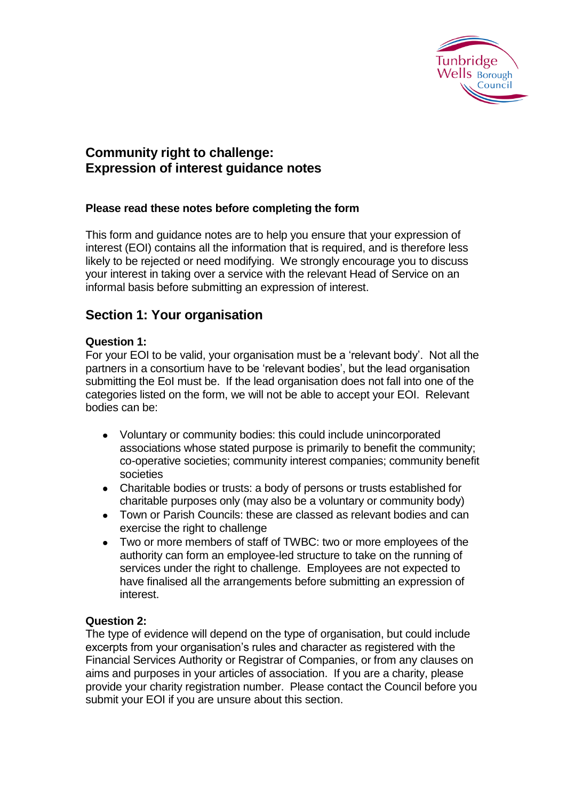

# **Community right to challenge: Expression of interest guidance notes**

## **Please read these notes before completing the form**

This form and guidance notes are to help you ensure that your expression of interest (EOI) contains all the information that is required, and is therefore less likely to be rejected or need modifying. We strongly encourage you to discuss your interest in taking over a service with the relevant Head of Service on an informal basis before submitting an expression of interest.

# **Section 1: Your organisation**

### **Question 1:**

For your EOI to be valid, your organisation must be a 'relevant body'. Not all the partners in a consortium have to be 'relevant bodies', but the lead organisation submitting the EoI must be. If the lead organisation does not fall into one of the categories listed on the form, we will not be able to accept your EOI. Relevant bodies can be:

- Voluntary or community bodies: this could include unincorporated associations whose stated purpose is primarily to benefit the community; co-operative societies; community interest companies; community benefit societies
- Charitable bodies or trusts: a body of persons or trusts established for charitable purposes only (may also be a voluntary or community body)
- Town or Parish Councils: these are classed as relevant bodies and can exercise the right to challenge
- Two or more members of staff of TWBC: two or more employees of the authority can form an employee-led structure to take on the running of services under the right to challenge. Employees are not expected to have finalised all the arrangements before submitting an expression of interest.

### **Question 2:**

The type of evidence will depend on the type of organisation, but could include excerpts from your organisation's rules and character as registered with the Financial Services Authority or Registrar of Companies, or from any clauses on aims and purposes in your articles of association. If you are a charity, please provide your charity registration number. Please contact the Council before you submit your EOI if you are unsure about this section.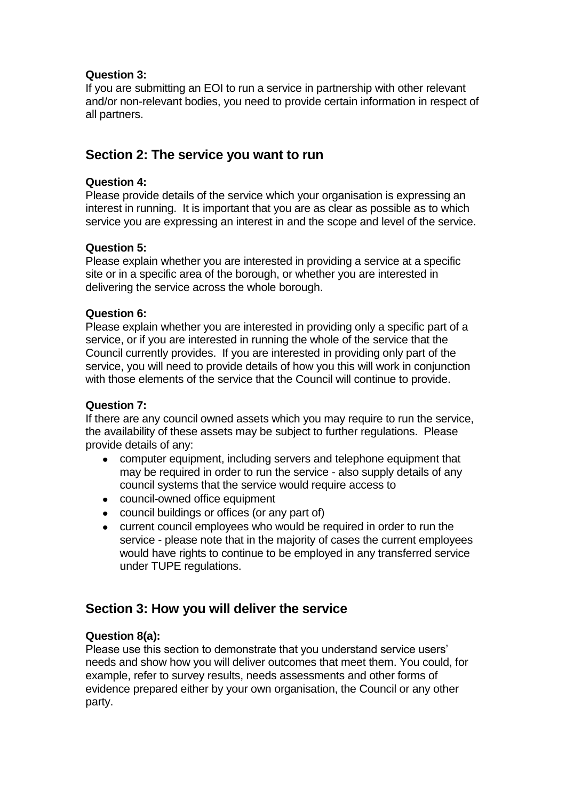## **Question 3:**

If you are submitting an EOI to run a service in partnership with other relevant and/or non-relevant bodies, you need to provide certain information in respect of all partners.

# **Section 2: The service you want to run**

## **Question 4:**

Please provide details of the service which your organisation is expressing an interest in running. It is important that you are as clear as possible as to which service you are expressing an interest in and the scope and level of the service.

# **Question 5:**

Please explain whether you are interested in providing a service at a specific site or in a specific area of the borough, or whether you are interested in delivering the service across the whole borough.

### **Question 6:**

Please explain whether you are interested in providing only a specific part of a service, or if you are interested in running the whole of the service that the Council currently provides. If you are interested in providing only part of the service, you will need to provide details of how you this will work in conjunction with those elements of the service that the Council will continue to provide.

### **Question 7:**

If there are any council owned assets which you may require to run the service, the availability of these assets may be subject to further regulations. Please provide details of any:

- computer equipment, including servers and telephone equipment that  $\bullet$ may be required in order to run the service - also supply details of any council systems that the service would require access to
- council-owned office equipment
- council buildings or offices (or any part of)
- $\bullet$ current council employees who would be required in order to run the service - please note that in the majority of cases the current employees would have rights to continue to be employed in any transferred service under TUPE regulations.

# **Section 3: How you will deliver the service**

# **Question 8(a):**

Please use this section to demonstrate that you understand service users' needs and show how you will deliver outcomes that meet them. You could, for example, refer to survey results, needs assessments and other forms of evidence prepared either by your own organisation, the Council or any other party.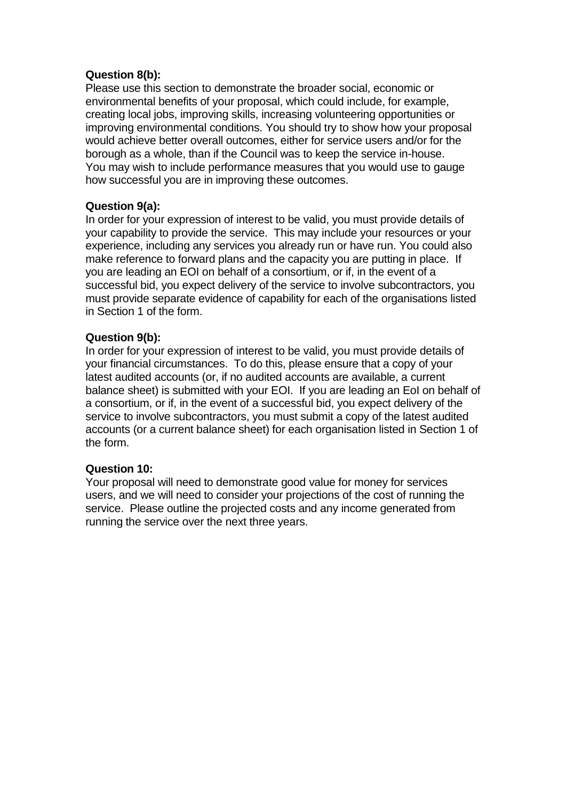## **Question 8(b):**

Please use this section to demonstrate the broader social, economic or environmental benefits of your proposal, which could include, for example, creating local jobs, improving skills, increasing volunteering opportunities or improving environmental conditions. You should try to show how your proposal would achieve better overall outcomes, either for service users and/or for the borough as a whole, than if the Council was to keep the service in-house. You may wish to include performance measures that you would use to gauge how successful you are in improving these outcomes.

## **Question 9(a):**

In order for your expression of interest to be valid, you must provide details of your capability to provide the service. This may include your resources or your experience, including any services you already run or have run. You could also make reference to forward plans and the capacity you are putting in place. If you are leading an EOI on behalf of a consortium, or if, in the event of a successful bid, you expect delivery of the service to involve subcontractors, you must provide separate evidence of capability for each of the organisations listed in Section 1 of the form.

## **Question 9(b):**

In order for your expression of interest to be valid, you must provide details of your financial circumstances. To do this, please ensure that a copy of your latest audited accounts (or, if no audited accounts are available, a current balance sheet) is submitted with your EOI. If you are leading an EoI on behalf of a consortium, or if, in the event of a successful bid, you expect delivery of the service to involve subcontractors, you must submit a copy of the latest audited accounts (or a current balance sheet) for each organisation listed in Section 1 of the form.

### **Question 10:**

Your proposal will need to demonstrate good value for money for services users, and we will need to consider your projections of the cost of running the service. Please outline the projected costs and any income generated from running the service over the next three years.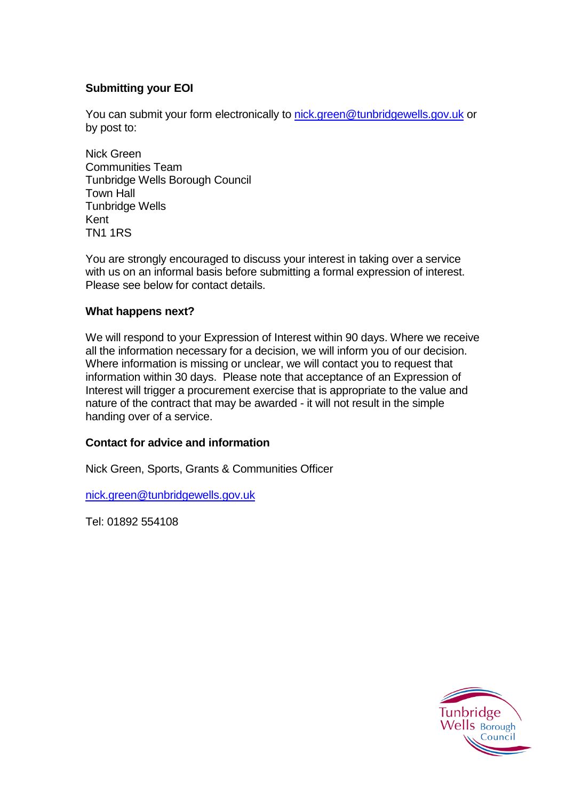## **Submitting your EOI**

You can submit your form electronically to [nick.green@tunbridgewells.gov.uk](mailto:nick.green@tunbridgewells.gov.uk) or by post to:

Nick Green Communities Team Tunbridge Wells Borough Council Town Hall Tunbridge Wells Kent TN1 1RS

You are strongly encouraged to discuss your interest in taking over a service with us on an informal basis before submitting a formal expression of interest. Please see below for contact details.

### **What happens next?**

We will respond to your Expression of Interest within 90 days. Where we receive all the information necessary for a decision, we will inform you of our decision. Where information is missing or unclear, we will contact you to request that information within 30 days. Please note that acceptance of an Expression of Interest will trigger a procurement exercise that is appropriate to the value and nature of the contract that may be awarded - it will not result in the simple handing over of a service.

### **Contact for advice and information**

Nick Green, Sports, Grants & Communities Officer

[nick.green@tunbridgewells.gov.uk](mailto:nick.green@tunbridgewells.gov.uk)

Tel: 01892 554108

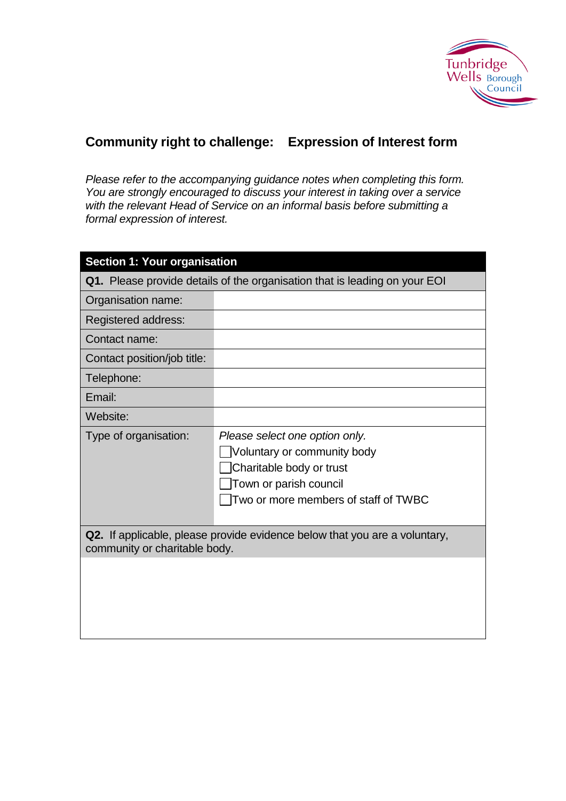

# **Community right to challenge: Expression of Interest form**

*Please refer to the accompanying guidance notes when completing this form. You are strongly encouraged to discuss your interest in taking over a service with the relevant Head of Service on an informal basis before submitting a formal expression of interest.* 

| <b>Section 1: Your organisation</b>                                                                         |                                                                                                                                                             |  |  |
|-------------------------------------------------------------------------------------------------------------|-------------------------------------------------------------------------------------------------------------------------------------------------------------|--|--|
| Q1. Please provide details of the organisation that is leading on your EOI                                  |                                                                                                                                                             |  |  |
| Organisation name:                                                                                          |                                                                                                                                                             |  |  |
| Registered address:                                                                                         |                                                                                                                                                             |  |  |
| Contact name:                                                                                               |                                                                                                                                                             |  |  |
| Contact position/job title:                                                                                 |                                                                                                                                                             |  |  |
| Telephone:                                                                                                  |                                                                                                                                                             |  |  |
| Email:                                                                                                      |                                                                                                                                                             |  |  |
| Website:                                                                                                    |                                                                                                                                                             |  |  |
| Type of organisation:                                                                                       | Please select one option only.<br>Voluntary or community body<br>Charitable body or trust<br>Town or parish council<br>Two or more members of staff of TWBC |  |  |
| Q2. If applicable, please provide evidence below that you are a voluntary,<br>community or charitable body. |                                                                                                                                                             |  |  |
|                                                                                                             |                                                                                                                                                             |  |  |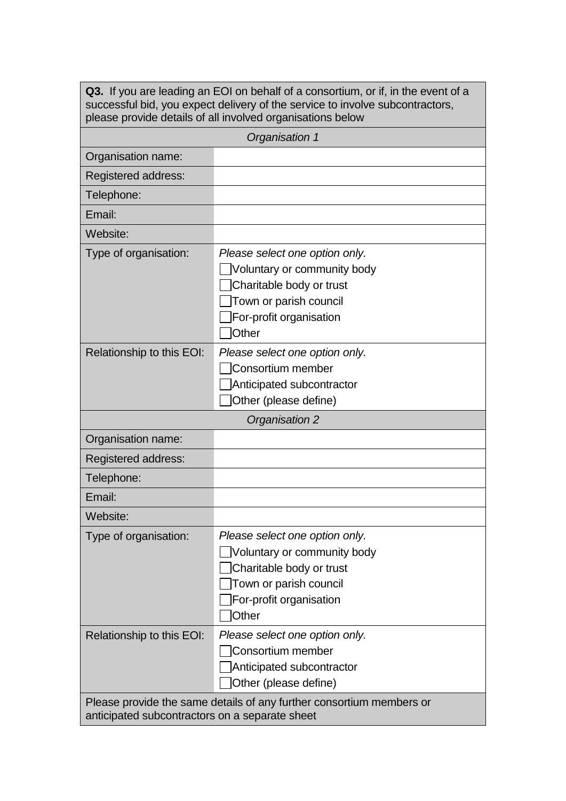| Q3. If you are leading an EOI on behalf of a consortium, or if, in the event of a<br>successful bid, you expect delivery of the service to involve subcontractors,<br>please provide details of all involved organisations below |                                                                                                                                                                                   |  |  |  |
|----------------------------------------------------------------------------------------------------------------------------------------------------------------------------------------------------------------------------------|-----------------------------------------------------------------------------------------------------------------------------------------------------------------------------------|--|--|--|
| Organisation 1                                                                                                                                                                                                                   |                                                                                                                                                                                   |  |  |  |
| Organisation name:                                                                                                                                                                                                               |                                                                                                                                                                                   |  |  |  |
| Registered address:                                                                                                                                                                                                              |                                                                                                                                                                                   |  |  |  |
| Telephone:                                                                                                                                                                                                                       |                                                                                                                                                                                   |  |  |  |
| Email:                                                                                                                                                                                                                           |                                                                                                                                                                                   |  |  |  |
| Website:                                                                                                                                                                                                                         |                                                                                                                                                                                   |  |  |  |
| Type of organisation:                                                                                                                                                                                                            | Please select one option only.<br>Voluntary or community body<br>Charitable body or trust<br>Town or parish council<br>For-profit organisation<br>Other                           |  |  |  |
| Relationship to this EOI:                                                                                                                                                                                                        | Please select one option only.<br>Consortium member<br>Anticipated subcontractor<br>Other (please define)                                                                         |  |  |  |
| Organisation 2                                                                                                                                                                                                                   |                                                                                                                                                                                   |  |  |  |
| Organisation name:                                                                                                                                                                                                               |                                                                                                                                                                                   |  |  |  |
| Registered address:                                                                                                                                                                                                              |                                                                                                                                                                                   |  |  |  |
| Telephone:                                                                                                                                                                                                                       |                                                                                                                                                                                   |  |  |  |
| Email:                                                                                                                                                                                                                           |                                                                                                                                                                                   |  |  |  |
| Website:                                                                                                                                                                                                                         |                                                                                                                                                                                   |  |  |  |
| Type of organisation:                                                                                                                                                                                                            | Please select one option only.<br>Voluntary or community body<br>Charitable body or trust<br>Town or parish council<br>For-profit organisation<br><b>Other</b>                    |  |  |  |
| Relationship to this EOI:                                                                                                                                                                                                        | Please select one option only.<br>Consortium member<br>Anticipated subcontractor<br>Other (please define)<br>Please provide the same details of any further consortium members or |  |  |  |
| anticipated subcontractors on a separate sheet                                                                                                                                                                                   |                                                                                                                                                                                   |  |  |  |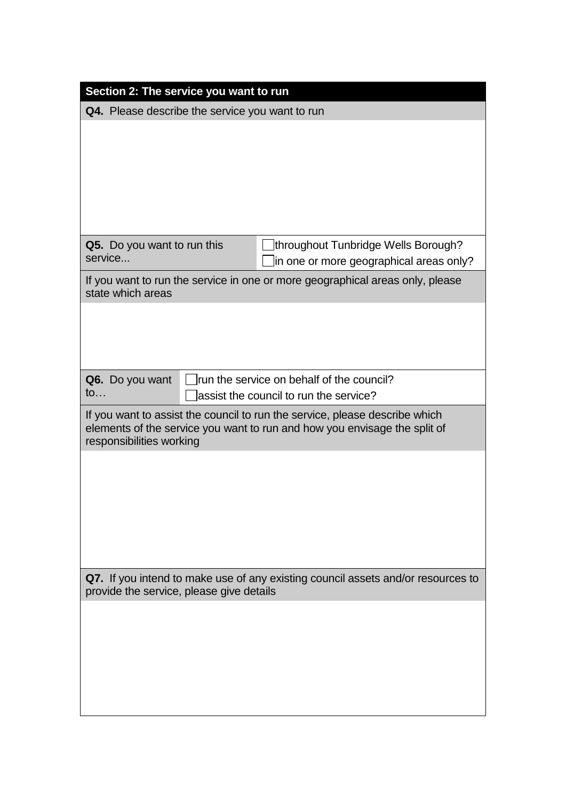| Section 2: The service you want to run                                                                                                                                               |                                                                                      |                                                                                |  |
|--------------------------------------------------------------------------------------------------------------------------------------------------------------------------------------|--------------------------------------------------------------------------------------|--------------------------------------------------------------------------------|--|
| Q4. Please describe the service you want to run                                                                                                                                      |                                                                                      |                                                                                |  |
|                                                                                                                                                                                      |                                                                                      |                                                                                |  |
|                                                                                                                                                                                      |                                                                                      |                                                                                |  |
|                                                                                                                                                                                      |                                                                                      |                                                                                |  |
|                                                                                                                                                                                      |                                                                                      |                                                                                |  |
| Q5. Do you want to run this<br>service                                                                                                                                               |                                                                                      | throughout Tunbridge Wells Borough?<br>in one or more geographical areas only? |  |
| If you want to run the service in one or more geographical areas only, please<br>state which areas                                                                                   |                                                                                      |                                                                                |  |
|                                                                                                                                                                                      |                                                                                      |                                                                                |  |
|                                                                                                                                                                                      |                                                                                      |                                                                                |  |
| Q6. Do you want                                                                                                                                                                      |                                                                                      |                                                                                |  |
| $\mathsf{to}$                                                                                                                                                                        | run the service on behalf of the council?<br>lassist the council to run the service? |                                                                                |  |
| If you want to assist the council to run the service, please describe which<br>elements of the service you want to run and how you envisage the split of<br>responsibilities working |                                                                                      |                                                                                |  |
|                                                                                                                                                                                      |                                                                                      |                                                                                |  |
|                                                                                                                                                                                      |                                                                                      |                                                                                |  |
|                                                                                                                                                                                      |                                                                                      |                                                                                |  |
|                                                                                                                                                                                      |                                                                                      |                                                                                |  |
| Q7. If you intend to make use of any existing council assets and/or resources to<br>provide the service, please give details                                                         |                                                                                      |                                                                                |  |
|                                                                                                                                                                                      |                                                                                      |                                                                                |  |
|                                                                                                                                                                                      |                                                                                      |                                                                                |  |
|                                                                                                                                                                                      |                                                                                      |                                                                                |  |
|                                                                                                                                                                                      |                                                                                      |                                                                                |  |
|                                                                                                                                                                                      |                                                                                      |                                                                                |  |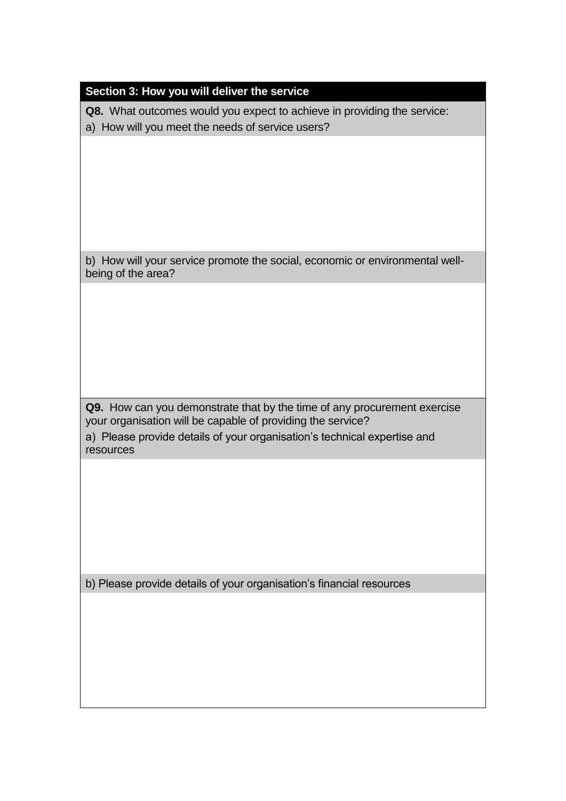## **Section 3: How you will deliver the service**

**Q8.** What outcomes would you expect to achieve in providing the service:

a) How will you meet the needs of service users?

b) How will your service promote the social, economic or environmental wellbeing of the area?

**Q9.** How can you demonstrate that by the time of any procurement exercise your organisation will be capable of providing the service? a) Please provide details of your organisation's technical expertise and resources

b) Please provide details of your organisation's financial resources